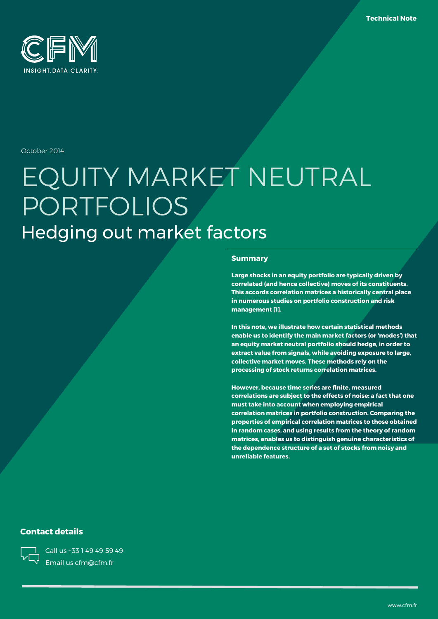

October 2014

# EQUITY MARKET NEUTRAL PORTFOLIOS Hedging out market factors

#### **Summary**

**Large shocks in an equity portfolio are typically driven by correlated (and hence collective) moves of its constituents. This accords correlation matrices a historically central place in numerous studies on portfolio construction and risk management [1].**

**In this note, we illustrate how certain statistical methods enable us to identify the main market factors (or 'modes') that an equity market neutral portfolio should hedge, in order to extract value from signals, while avoiding exposure to large, collective market moves. These methods rely on the processing of stock returns correlation matrices.**

**However, because time series are finite, measured correlations are subject to the effects of noise: a fact that one must take into account when employing empirical correlation matrices in portfolio construction. Comparing the properties of empirical correlation matrices to those obtained in random cases, and using results from the theory of random matrices, enables us to distinguish genuine characteristics of the dependence structure of a set of stocks from noisy and unreliable features.**

### **Contact details**

Call us +33 1 49 49 59 49 Email us cfm@cfm.fr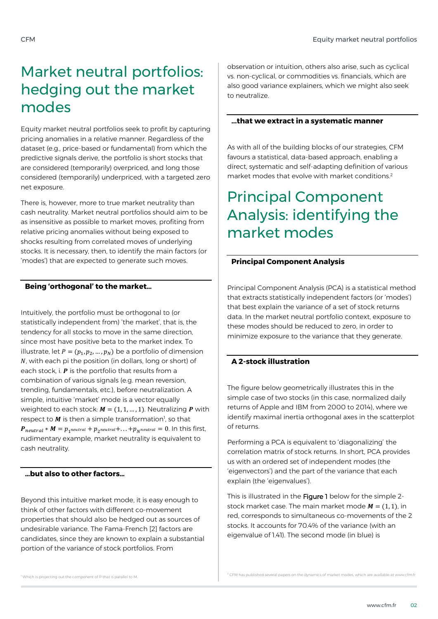# Market neutral portfolios: hedging out the market modes

Equity market neutral portfolios seek to profit by capturing pricing anomalies in a relative manner. Regardless of the dataset (e.g., price-based or fundamental) from which the predictive signals derive, the portfolio is short stocks that are considered (temporarily) overpriced, and long those considered (temporarily) underpriced, with a targeted zero net exposure.

There is, however, more to true market neutrality than cash neutrality. Market neutral portfolios should aim to be as insensitive as possible to market moves, profiting from relative pricing anomalies without being exposed to shocks resulting from correlated moves of underlying stocks. It is necessary, then, to identify the main factors (or 'modes') that are expected to generate such moves.

## **Being 'orthogonal' to the market…**

Intuitively, the portfolio must be orthogonal to (or statistically independent from) 'the market', that is, the tendency for all stocks to move in the same direction, since most have positive beta to the market index. To illustrate, let  $P = (p_1, p_2, ..., p_N)$  be a portfolio of dimension  $N$ , with each pi the position (in dollars, long or short) of each stock, i.  $P$  is the portfolio that results from a combination of various signals (e.g. mean reversion, trending, fundamentals, etc.), before neutralization. A simple, intuitive 'market' mode is a vector equally weighted to each stock:  $M = (1, 1, ..., 1)$ . Neutralizing **P** with respect to  $M$  is then a simple transformation<sup>1</sup>, so that  $\bm{P}_{neutral} * \bm{M} = p_{1}$ neutral +  $p_{2}$ neutral +... + $p_{N}$ neutral = 0. In this first, rudimentary example, market neutrality is equivalent to cash neutrality.

### **…but also to other factors…**

Beyond this intuitive market mode, it is easy enough to think of other factors with different co-movement properties that should also be hedged out as sources of undesirable variance. The Fama-French [2] factors are candidates, since they are known to explain a substantial portion of the variance of stock portfolios. From

observation or intuition, others also arise, such as cyclical vs. non-cyclical, or commodities vs. financials, which are also good variance explainers, which we might also seek to neutralize.

### **...that we extract in a systematic manner**

As with all of the building blocks of our strategies, CFM favours a statistical, data-based approach, enabling a direct, systematic and self-adapting definition of various market modes that evolve with market conditions. 2

# Principal Component Analysis: identifying the market modes

## **Principal Component Analysis**

Principal Component Analysis (PCA) is a statistical method that extracts statistically independent factors (or 'modes') that best explain the variance of a set of stock returns data. In the market neutral portfolio context, exposure to these modes should be reduced to zero, in order to minimize exposure to the variance that they generate.

## **A 2-stock illustration**

The figure below geometrically illustrates this in the simple case of two stocks (in this case, normalized daily returns of Apple and IBM from 2000 to 2014), where we identify maximal inertia orthogonal axes in the scatterplot of returns.

Performing a PCA is equivalent to 'diagonalizing' the correlation matrix of stock returns. In short, PCA provides us with an ordered set of independent modes (the 'eigenvectors') and the part of the variance that each explain (the 'eigenvalues').

This is illustrated in the Figure 1 below for the simple 2stock market case. The main market mode  $M = (1, 1)$ , in red, corresponds to simultaneous co-movements of the 2 stocks. It accounts for 70.4% of the variance (with an eigenvalue of 1.41). The second mode (in blue) is

<sup>1</sup> Which is projecting out the component of P that is parallel to M.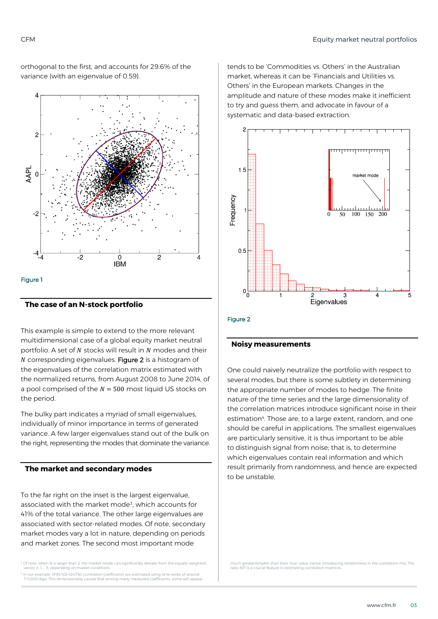orthogonal to the first, and accounts for 29.6% of the variance (with an eigenvalue of 0.59).



#### **The case of an N-stock portfolio**

This example is simple to extend to the more relevant multidimensional case of a global equity market neutral portfolio. A set of  $N$  stocks will result in  $N$  modes and their  $N$  corresponding eigenvalues. Figure 2 is a histogram of the eigenvalues of the correlation matrix estimated with the normalized returns, from August 2008 to June 2014, of a pool comprised of the  $N = 500$  most liquid US stocks on the period.

The bulky part indicates a myriad of small eigenvalues, individually of minor importance in terms of generated variance. A few larger eigenvalues stand out of the bulk on the right, representing the modes that dominate the variance.

#### **The market and secondary modes**

To the far right on the inset is the largest eigenvalue, associated with the market mode<sup>3</sup>, which accounts for 41% of the total variance. The other large eigenvalues are associated with sector-related modes. Of note, secondary market modes vary a lot in nature, depending on periods and market zones. The second most important mode

 $35$  Of note, when N is larger than 2, the market mode can significantly deviate from the equally weighted vector (1, 1,…, 1), depending on market conditions.

4 In our example, N\*(N-1)/2=124,750 correlation coefficients are estimated using time series of around T=1,000 days. This dimensionality causes that among many measured coefficients, some will appear

tends to be 'Commodities vs. Others' in the Australian market, whereas it can be 'Financials and Utilities vs. Others' in the European markets. Changes in the amplitude and nature of these modes make it inefficient to try and guess them, and advocate in favour of a systematic and data-based extraction.



#### Figure 2

#### **Noisy measurements**

One could naively neutralize the portfolio with respect to several modes, but there is some subtlety in determining the appropriate number of modes to hedge. The finite nature of the time series and the large dimensionality of the correlation matrices introduce significant noise in their estimation<sup>4</sup>. Those are, to a large extent, random, and one should be careful in applications. The smallest eigenvalues are particularly sensitive, it is thus important to be able to distinguish signal from noise; that is, to determine which eigenvalues contain real information and which result primarily from randomness, and hence are expected to be unstable.

much greater/smaller than their 'true' value, hence introducing randomness in the correlation mix. The ratio N/T is a crucial feature in estimating correlation matrices.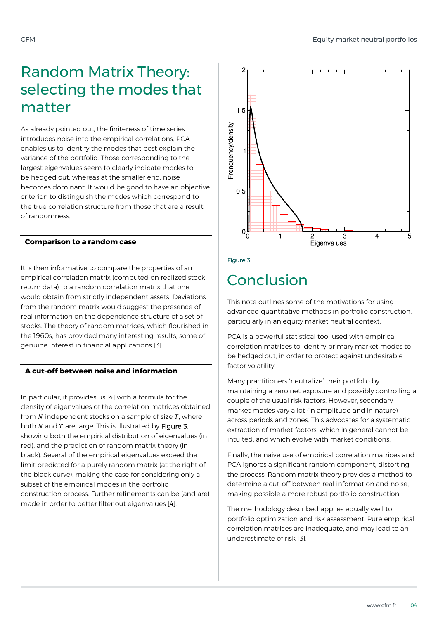# Random Matrix Theory: selecting the modes that matter

As already pointed out, the finiteness of time series introduces noise into the empirical correlations. PCA enables us to identify the modes that best explain the variance of the portfolio. Those corresponding to the largest eigenvalues seem to clearly indicate modes to be hedged out, whereas at the smaller end, noise becomes dominant. It would be good to have an objective criterion to distinguish the modes which correspond to the true correlation structure from those that are a result of randomness.

### **Comparison to a random case**

It is then informative to compare the properties of an empirical correlation matrix (computed on realized stock return data) to a random correlation matrix that one would obtain from strictly independent assets. Deviations from the random matrix would suggest the presence of real information on the dependence structure of a set of stocks. The theory of random matrices, which flourished in the 1960s, has provided many interesting results, some of genuine interest in financial applications [3].

# **A cut-off between noise and information**

In particular, it provides us [4] with a formula for the density of eigenvalues of the correlation matrices obtained from  $N$  independent stocks on a sample of size  $T$ , where both  $N$  and  $T$  are large. This is illustrated by Figure 3, showing both the empirical distribution of eigenvalues (in red), and the prediction of random matrix theory (in black). Several of the empirical eigenvalues exceed the limit predicted for a purely random matrix (at the right of the black curve), making the case for considering only a subset of the empirical modes in the portfolio construction process. Further refinements can be (and are) made in order to better filter out eigenvalues [4].



Figure 3

# Conclusion

This note outlines some of the motivations for using advanced quantitative methods in portfolio construction, particularly in an equity market neutral context.

PCA is a powerful statistical tool used with empirical correlation matrices to identify primary market modes to be hedged out, in order to protect against undesirable factor volatility.

Many practitioners 'neutralize' their portfolio by maintaining a zero net exposure and possibly controlling a couple of the usual risk factors. However, secondary market modes vary a lot (in amplitude and in nature) across periods and zones. This advocates for a systematic extraction of market factors, which in general cannot be intuited, and which evolve with market conditions.

Finally, the naïve use of empirical correlation matrices and PCA ignores a significant random component, distorting the process. Random matrix theory provides a method to determine a cut-off between real information and noise, making possible a more robust portfolio construction.

The methodology described applies equally well to portfolio optimization and risk assessment. Pure empirical correlation matrices are inadequate, and may lead to an underestimate of risk [3].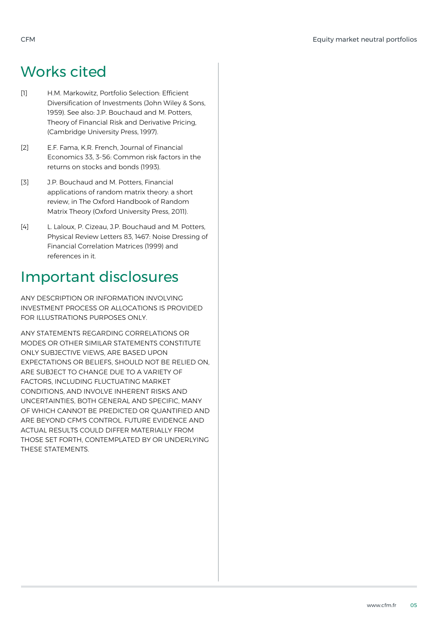# Works cited

- [1] H.M. Markowitz, Portfolio Selection: Efficient Diversification of Investments (John Wiley & Sons, 1959). See also: J.P. Bouchaud and M. Potters, Theory of Financial Risk and Derivative Pricing, (Cambridge University Press, 1997).
- [2] E.F. Fama, K.R. French, Journal of Financial Economics 33, 3-56: Common risk factors in the returns on stocks and bonds (1993).
- [3] J.P. Bouchaud and M. Potters, Financial applications of random matrix theory: a short review, in The Oxford Handbook of Random Matrix Theory (Oxford University Press, 2011).
- [4] L. Laloux, P. Cizeau, J.P. Bouchaud and M. Potters, Physical Review Letters 83, 1467: Noise Dressing of Financial Correlation Matrices (1999) and references in it.

# Important disclosures

ANY DESCRIPTION OR INFORMATION INVOLVING INVESTMENT PROCESS OR ALLOCATIONS IS PROVIDED FOR ILLUSTRATIONS PURPOSES ONLY.

ANY STATEMENTS REGARDING CORRELATIONS OR MODES OR OTHER SIMILAR STATEMENTS CONSTITUTE ONLY SUBJECTIVE VIEWS, ARE BASED UPON EXPECTATIONS OR BELIEFS, SHOULD NOT BE RELIED ON, ARE SUBJECT TO CHANGE DUE TO A VARIETY OF FACTORS, INCLUDING FLUCTUATING MARKET CONDITIONS, AND INVOLVE INHERENT RISKS AND UNCERTAINTIES, BOTH GENERAL AND SPECIFIC, MANY OF WHICH CANNOT BE PREDICTED OR QUANTIFIED AND ARE BEYOND CFM'S CONTROL. FUTURE EVIDENCE AND ACTUAL RESULTS COULD DIFFER MATERIALLY FROM THOSE SET FORTH, CONTEMPLATED BY OR UNDERLYING THESE STATEMENTS.